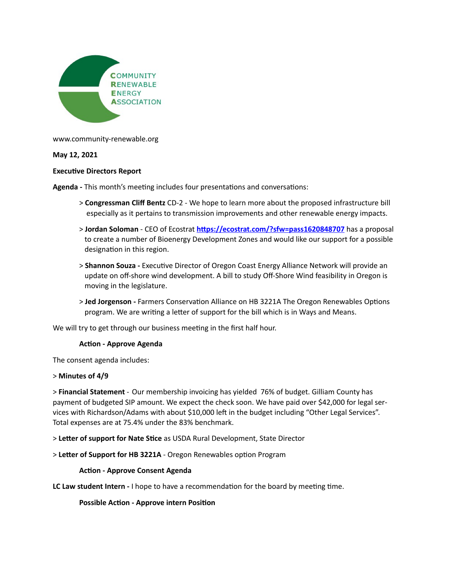

www.community-renewable.org

# **May 12, 2021**

### **Executive Directors Report**

**Agenda - This month's meeting includes four presentations and conversations:** 

- > **Congressman Cliff Bentz** CD-2 We hope to learn more about the proposed infrastructure bill especially as it pertains to transmission improvements and other renewable energy impacts.
- > **Jordan Soloman** CEO of Ecostrat **https://ecostrat.com/?sfw=pass1620848707** has a proposal to create a number of Bioenergy Development Zones and would like our support for a possible designation in this region.
- > **Shannon Souza** Executive Director of Oregon Coast Energy Alliance Network will provide an update on off-shore wind development. A bill to study Off-Shore Wind feasibility in Oregon is moving in the legislature.
- > **Jed Jorgenson** Farmers Conservation Alliance on HB 3221A The Oregon Renewables Options program. We are writing a letter of support for the bill which is in Ways and Means.

We will try to get through our business meeting in the first half hour.

#### **Action - Approve Agenda**

The consent agenda includes:

# > **Minutes of 4/9**

> **Financial Statement** - Our membership invoicing has yielded 76% of budget. Gilliam County has payment of budgeted SIP amount. We expect the check soon. We have paid over \$42,000 for legal services with Richardson/Adams with about \$10,000 left in the budget including "Other Legal Services". Total expenses are at 75.4% under the 83% benchmark.

> Letter of support for Nate Stice as USDA Rural Development, State Director

> Letter of Support for HB 3221A - Oregon Renewables option Program

# **Action - Approve Consent Agenda**

**LC Law student Intern -** I hope to have a recommendation for the board by meeting time.

#### **Possible Action - Approve intern Position**